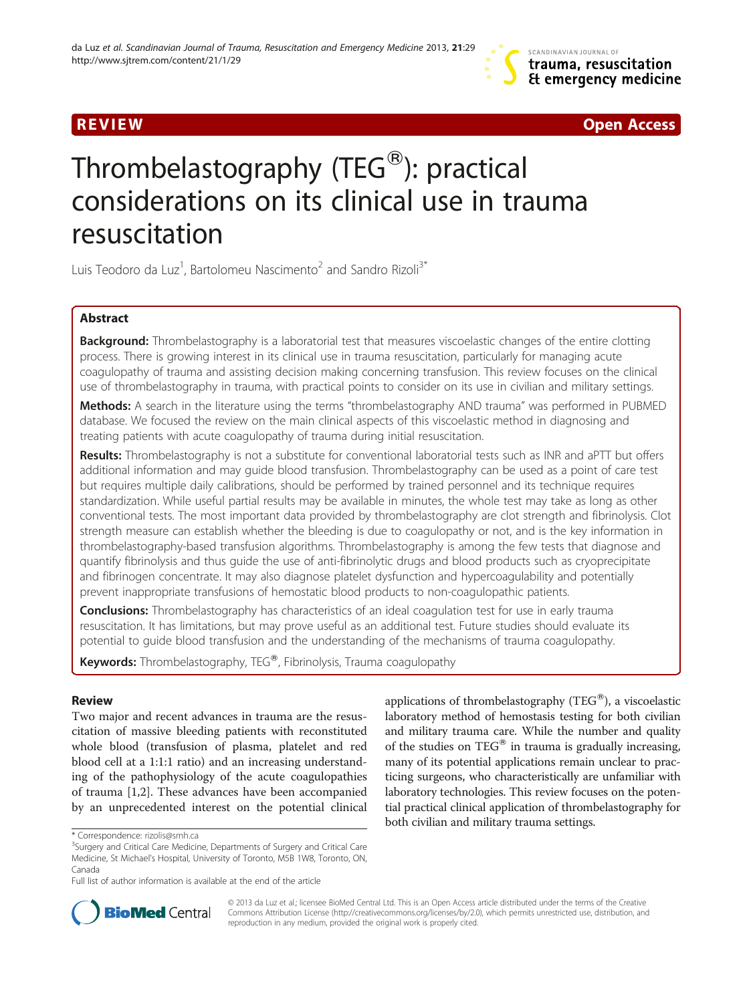R EVI EW Open Access

# Thrombelastography (TEG $^{\circledR}$ ): practical considerations on its clinical use in trauma resuscitation

Luis Teodoro da Luz<sup>1</sup>, Bartolomeu Nascimento<sup>2</sup> and Sandro Rizoli<sup>3\*</sup>

# Abstract

Background: Thrombelastography is a laboratorial test that measures viscoelastic changes of the entire clotting process. There is growing interest in its clinical use in trauma resuscitation, particularly for managing acute coagulopathy of trauma and assisting decision making concerning transfusion. This review focuses on the clinical use of thrombelastography in trauma, with practical points to consider on its use in civilian and military settings.

Methods: A search in the literature using the terms "thrombelastography AND trauma" was performed in PUBMED database. We focused the review on the main clinical aspects of this viscoelastic method in diagnosing and treating patients with acute coagulopathy of trauma during initial resuscitation.

Results: Thrombelastography is not a substitute for conventional laboratorial tests such as INR and aPTT but offers additional information and may guide blood transfusion. Thrombelastography can be used as a point of care test but requires multiple daily calibrations, should be performed by trained personnel and its technique requires standardization. While useful partial results may be available in minutes, the whole test may take as long as other conventional tests. The most important data provided by thrombelastography are clot strength and fibrinolysis. Clot strength measure can establish whether the bleeding is due to coagulopathy or not, and is the key information in thrombelastography-based transfusion algorithms. Thrombelastography is among the few tests that diagnose and quantify fibrinolysis and thus guide the use of anti-fibrinolytic drugs and blood products such as cryoprecipitate and fibrinogen concentrate. It may also diagnose platelet dysfunction and hypercoagulability and potentially prevent inappropriate transfusions of hemostatic blood products to non-coagulopathic patients.

**Conclusions:** Thrombelastography has characteristics of an ideal coagulation test for use in early trauma resuscitation. It has limitations, but may prove useful as an additional test. Future studies should evaluate its potential to guide blood transfusion and the understanding of the mechanisms of trauma coagulopathy.

Keywords: Thrombelastography, TEG<sup>®</sup>, Fibrinolysis, Trauma coagulopathy

# Review

Two major and recent advances in trauma are the resuscitation of massive bleeding patients with reconstituted whole blood (transfusion of plasma, platelet and red blood cell at a 1:1:1 ratio) and an increasing understanding of the pathophysiology of the acute coagulopathies of trauma [[1,2\]](#page-5-0). These advances have been accompanied by an unprecedented interest on the potential clinical

applications of thrombelastography (TEG®), a viscoelastic laboratory method of hemostasis testing for both civilian and military trauma care. While the number and quality of the studies on TEG $^{\circledast}$  in trauma is gradually increasing, many of its potential applications remain unclear to practicing surgeons, who characteristically are unfamiliar with laboratory technologies. This review focuses on the potential practical clinical application of thrombelastography for both civilian and military trauma settings.



© 2013 da Luz et al.; licensee BioMed Central Ltd. This is an Open Access article distributed under the terms of the Creative Commons Attribution License [\(http://creativecommons.org/licenses/by/2.0\)](http://creativecommons.org/licenses/by/2.0), which permits unrestricted use, distribution, and reproduction in any medium, provided the original work is properly cited.

<sup>\*</sup> Correspondence: [rizolis@smh.ca](mailto:rizolis@smh.ca) <sup>3</sup>

<sup>&</sup>lt;sup>3</sup>Surgery and Critical Care Medicine, Departments of Surgery and Critical Care Medicine, St Michael's Hospital, University of Toronto, M5B 1W8, Toronto, ON, Canada

Full list of author information is available at the end of the article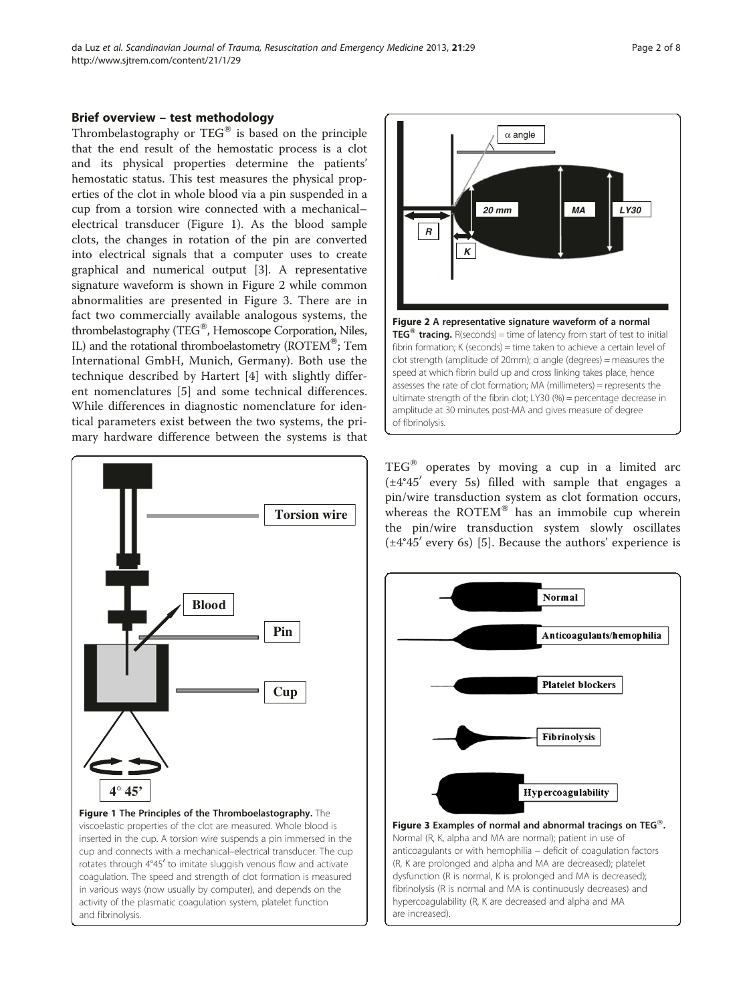# Brief overview – test methodology

Thrombelastography or  $TEG^{\circledast}$  is based on the principle that the end result of the hemostatic process is a clot and its physical properties determine the patients' hemostatic status. This test measures the physical properties of the clot in whole blood via a pin suspended in a cup from a torsion wire connected with a mechanical– electrical transducer (Figure 1). As the blood sample clots, the changes in rotation of the pin are converted into electrical signals that a computer uses to create graphical and numerical output [\[3](#page-5-0)]. A representative signature waveform is shown in Figure 2 while common abnormalities are presented in Figure 3. There are in fact two commercially available analogous systems, the thrombelastography (TEG®, Hemoscope Corporation, Niles, IL) and the rotational thromboelastometry ( $ROTEM^@$ ; Tem International GmbH, Munich, Germany). Both use the technique described by Hartert [[4\]](#page-5-0) with slightly different nomenclatures [\[5](#page-5-0)] and some technical differences. While differences in diagnostic nomenclature for identical parameters exist between the two systems, the primary hardware difference between the systems is that



and fibrinolysis.



 $TEG^®$  operates by moving a cup in a limited arc  $(\pm 4^{\circ}45'$  every 5s) filled with sample that engages a pin/wire transduction system as clot formation occurs, whereas the ROTEM® has an immobile cup wherein the pin/wire transduction system slowly oscillates  $(\pm 4^{\circ}45'$  every 6s) [[5\]](#page-5-0). Because the authors' experience is



Normal (R, K, alpha and MA are normal); patient in use of anticoagulants or with hemophilia – deficit of coagulation factors (R, K are prolonged and alpha and MA are decreased); platelet dysfunction (R is normal, K is prolonged and MA is decreased); fibrinolysis (R is normal and MA is continuously decreases) and hypercoagulability (R, K are decreased and alpha and MA are increased).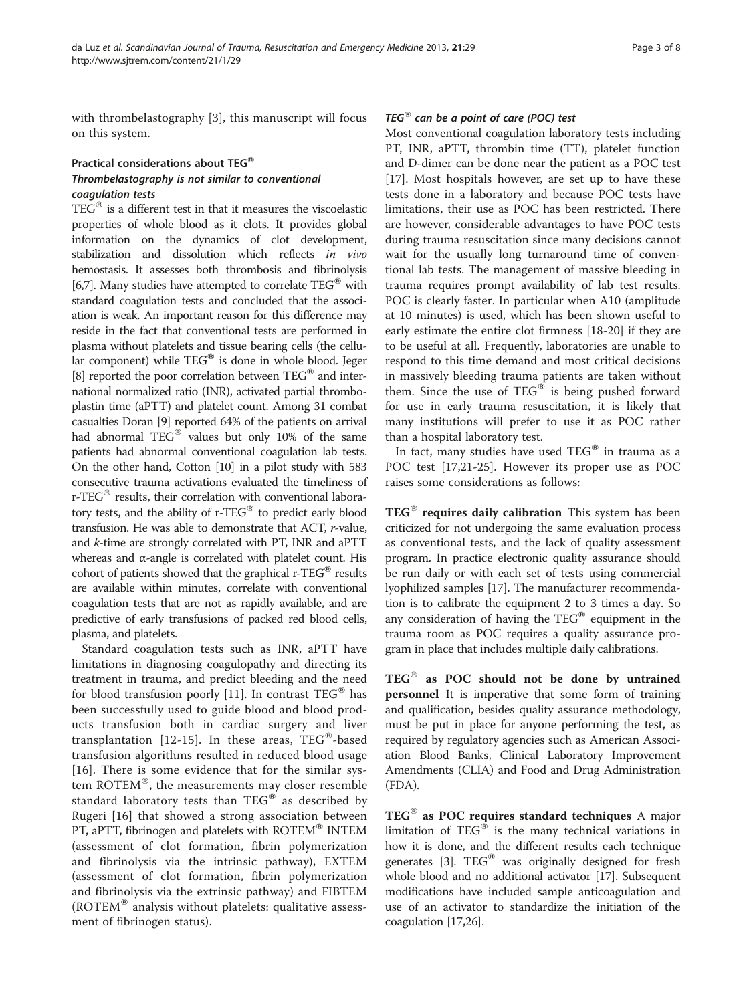with thrombelastography [[3](#page-5-0)], this manuscript will focus on this system.

# Practical considerations about TEG® Thrombelastography is not similar to conventional coagulation tests

 $TEG^{\circledast}$  is a different test in that it measures the viscoelastic properties of whole blood as it clots. It provides global information on the dynamics of clot development, stabilization and dissolution which reflects in vivo hemostasis. It assesses both thrombosis and fibrinolysis [[6,7](#page-5-0)]. Many studies have attempted to correlate  $TEG^®$  with standard coagulation tests and concluded that the association is weak. An important reason for this difference may reside in the fact that conventional tests are performed in plasma without platelets and tissue bearing cells (the cellular component) while  $TEG^{\circledast}$  is done in whole blood. Jeger [[8](#page-5-0)] reported the poor correlation between  $TEG^@$  and international normalized ratio (INR), activated partial thromboplastin time (aPTT) and platelet count. Among 31 combat casualties Doran [\[9](#page-5-0)] reported 64% of the patients on arrival had abnormal  $TEG^®$  values but only 10% of the same patients had abnormal conventional coagulation lab tests. On the other hand, Cotton [\[10\]](#page-6-0) in a pilot study with 583 consecutive trauma activations evaluated the timeliness of r-TEG<sup>®</sup> results, their correlation with conventional laboratory tests, and the ability of  $r$ -TEG® to predict early blood transfusion. He was able to demonstrate that ACT, r-value, and k-time are strongly correlated with PT, INR and aPTT whereas and α-angle is correlated with platelet count. His cohort of patients showed that the graphical  $r$ -TEG<sup>®</sup> results are available within minutes, correlate with conventional coagulation tests that are not as rapidly available, and are predictive of early transfusions of packed red blood cells, plasma, and platelets.

Standard coagulation tests such as INR, aPTT have limitations in diagnosing coagulopathy and directing its treatment in trauma, and predict bleeding and the need for blood transfusion poorly [\[11](#page-6-0)]. In contrast  $TEG^{\circledast}$  has been successfully used to guide blood and blood products transfusion both in cardiac surgery and liver transplantation [[12](#page-6-0)-[15\]](#page-6-0). In these areas,  $TEG^{\circledast}$ -based transfusion algorithms resulted in reduced blood usage [[16](#page-6-0)]. There is some evidence that for the similar system  $ROTEM^{\otimes}$ , the measurements may closer resemble standard laboratory tests than  $TEG^{\circledast}$  as described by Rugeri [[16\]](#page-6-0) that showed a strong association between PT, aPTT, fibrinogen and platelets with ROTEM® INTEM (assessment of clot formation, fibrin polymerization and fibrinolysis via the intrinsic pathway), EXTEM (assessment of clot formation, fibrin polymerization and fibrinolysis via the extrinsic pathway) and FIBTEM  $(ROTEM^{\otimes}$  analysis without platelets: qualitative assessment of fibrinogen status).

# TEG $<sup>®</sup>$  can be a point of care (POC) test</sup>

Most conventional coagulation laboratory tests including PT, INR, aPTT, thrombin time (TT), platelet function and D-dimer can be done near the patient as a POC test [[17\]](#page-6-0). Most hospitals however, are set up to have these tests done in a laboratory and because POC tests have limitations, their use as POC has been restricted. There are however, considerable advantages to have POC tests during trauma resuscitation since many decisions cannot wait for the usually long turnaround time of conventional lab tests. The management of massive bleeding in trauma requires prompt availability of lab test results. POC is clearly faster. In particular when A10 (amplitude at 10 minutes) is used, which has been shown useful to early estimate the entire clot firmness [\[18](#page-6-0)-[20\]](#page-6-0) if they are to be useful at all. Frequently, laboratories are unable to respond to this time demand and most critical decisions in massively bleeding trauma patients are taken without them. Since the use of  $TEG^{\otimes}$  is being pushed forward for use in early trauma resuscitation, it is likely that many institutions will prefer to use it as POC rather than a hospital laboratory test.

In fact, many studies have used  $TEG^®$  in trauma as a POC test [\[17,21](#page-6-0)-[25\]](#page-6-0). However its proper use as POC raises some considerations as follows:

 $TEG^{\circledast}$  requires daily calibration This system has been criticized for not undergoing the same evaluation process as conventional tests, and the lack of quality assessment program. In practice electronic quality assurance should be run daily or with each set of tests using commercial lyophilized samples [[17](#page-6-0)]. The manufacturer recommendation is to calibrate the equipment 2 to 3 times a day. So any consideration of having the  $TEG^{\circledast}$  equipment in the trauma room as POC requires a quality assurance program in place that includes multiple daily calibrations.

 $TEG^®$  as POC should not be done by untrained personnel It is imperative that some form of training and qualification, besides quality assurance methodology, must be put in place for anyone performing the test, as required by regulatory agencies such as American Association Blood Banks, Clinical Laboratory Improvement Amendments (CLIA) and Food and Drug Administration (FDA).

 $TEG^{\circledast}$  as POC requires standard techniques A major limitation of  $TEG^{\circledast}$  is the many technical variations in how it is done, and the different results each technique generates [\[3](#page-5-0)].  $TEG^®$  was originally designed for fresh whole blood and no additional activator [\[17\]](#page-6-0). Subsequent modifications have included sample anticoagulation and use of an activator to standardize the initiation of the coagulation [[17,26\]](#page-6-0).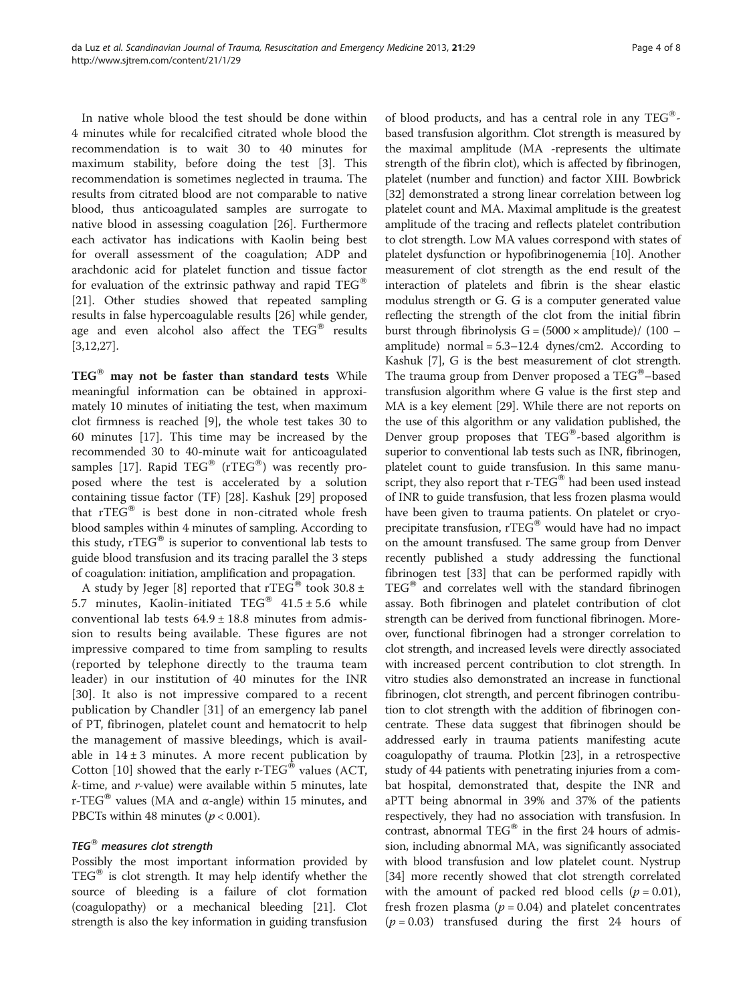In native whole blood the test should be done within 4 minutes while for recalcified citrated whole blood the recommendation is to wait 30 to 40 minutes for maximum stability, before doing the test [[3\]](#page-5-0). This recommendation is sometimes neglected in trauma. The results from citrated blood are not comparable to native blood, thus anticoagulated samples are surrogate to native blood in assessing coagulation [\[26](#page-6-0)]. Furthermore each activator has indications with Kaolin being best for overall assessment of the coagulation; ADP and arachdonic acid for platelet function and tissue factor for evaluation of the extrinsic pathway and rapid  $TEG^{\circledast}$ [[21\]](#page-6-0). Other studies showed that repeated sampling results in false hypercoagulable results [[26](#page-6-0)] while gender, age and even alcohol also affect the  $TEG^{\otimes}$  results [[3,](#page-5-0)[12,27\]](#page-6-0).

 $TEG^®$  may not be faster than standard tests While meaningful information can be obtained in approximately 10 minutes of initiating the test, when maximum clot firmness is reached [[9\]](#page-5-0), the whole test takes 30 to 60 minutes [\[17](#page-6-0)]. This time may be increased by the recommended 30 to 40-minute wait for anticoagulated samples [[17\]](#page-6-0). Rapid TEG® (rTEG®) was recently proposed where the test is accelerated by a solution containing tissue factor (TF) [\[28](#page-6-0)]. Kashuk [\[29](#page-6-0)] proposed that  $rTEG^®$  is best done in non-citrated whole fresh blood samples within 4 minutes of sampling. According to this study, rTEG<sup>®</sup> is superior to conventional lab tests to guide blood transfusion and its tracing parallel the 3 steps of coagulation: initiation, amplification and propagation.

A study by Jeger [[8\]](#page-5-0) reported that rTEG® took 30.8  $\pm$ 5.7 minutes, Kaolin-initiated TEG®  $41.5 \pm 5.6$  while conventional lab tests  $64.9 \pm 18.8$  minutes from admission to results being available. These figures are not impressive compared to time from sampling to results (reported by telephone directly to the trauma team leader) in our institution of 40 minutes for the INR [[30\]](#page-6-0). It also is not impressive compared to a recent publication by Chandler [[31](#page-6-0)] of an emergency lab panel of PT, fibrinogen, platelet count and hematocrit to help the management of massive bleedings, which is available in  $14 \pm 3$  minutes. A more recent publication by Cotton [\[10](#page-6-0)] showed that the early r-TEG® values (ACT,  $k$ -time, and  $r$ -value) were available within 5 minutes, late r-TEG<sup>®</sup> values (MA and α-angle) within 15 minutes, and PBCTs within 48 minutes ( $p < 0.001$ ).

# $TEG^{\circledast}$  measures clot strength

Possibly the most important information provided by  $TEG^{\otimes}$  is clot strength. It may help identify whether the source of bleeding is a failure of clot formation (coagulopathy) or a mechanical bleeding [[21](#page-6-0)]. Clot strength is also the key information in guiding transfusion

of blood products, and has a central role in any TEG<sup>®</sup>based transfusion algorithm. Clot strength is measured by the maximal amplitude (MA -represents the ultimate strength of the fibrin clot), which is affected by fibrinogen, platelet (number and function) and factor XIII. Bowbrick [[32](#page-6-0)] demonstrated a strong linear correlation between log platelet count and MA. Maximal amplitude is the greatest amplitude of the tracing and reflects platelet contribution to clot strength. Low MA values correspond with states of platelet dysfunction or hypofibrinogenemia [[10](#page-6-0)]. Another measurement of clot strength as the end result of the interaction of platelets and fibrin is the shear elastic modulus strength or G. G is a computer generated value reflecting the strength of the clot from the initial fibrin burst through fibrinolysis  $G = (5000 \times amplitude) / (100$ amplitude) normal =  $5.3-12.4$  dynes/cm2. According to Kashuk [[7\]](#page-5-0), G is the best measurement of clot strength. The trauma group from Denver proposed a  $TEG^{\circledast}$ -based transfusion algorithm where G value is the first step and MA is a key element [\[29](#page-6-0)]. While there are not reports on the use of this algorithm or any validation published, the Denver group proposes that  $TEG^@$ -based algorithm is superior to conventional lab tests such as INR, fibrinogen, platelet count to guide transfusion. In this same manuscript, they also report that  $r$ -TEG® had been used instead of INR to guide transfusion, that less frozen plasma would have been given to trauma patients. On platelet or cryoprecipitate transfusion,  $rTEG^®$  would have had no impact on the amount transfused. The same group from Denver recently published a study addressing the functional fibrinogen test [\[33\]](#page-6-0) that can be performed rapidly with  $TEG^{\circledast}$  and correlates well with the standard fibrinogen assay. Both fibrinogen and platelet contribution of clot strength can be derived from functional fibrinogen. Moreover, functional fibrinogen had a stronger correlation to clot strength, and increased levels were directly associated with increased percent contribution to clot strength. In vitro studies also demonstrated an increase in functional fibrinogen, clot strength, and percent fibrinogen contribution to clot strength with the addition of fibrinogen concentrate. These data suggest that fibrinogen should be addressed early in trauma patients manifesting acute coagulopathy of trauma. Plotkin [\[23\]](#page-6-0), in a retrospective study of 44 patients with penetrating injuries from a combat hospital, demonstrated that, despite the INR and aPTT being abnormal in 39% and 37% of the patients respectively, they had no association with transfusion. In contrast, abnormal  $TEG^®$  in the first 24 hours of admission, including abnormal MA, was significantly associated with blood transfusion and low platelet count. Nystrup [[34](#page-6-0)] more recently showed that clot strength correlated with the amount of packed red blood cells ( $p = 0.01$ ), fresh frozen plasma ( $p = 0.04$ ) and platelet concentrates  $(p = 0.03)$  transfused during the first 24 hours of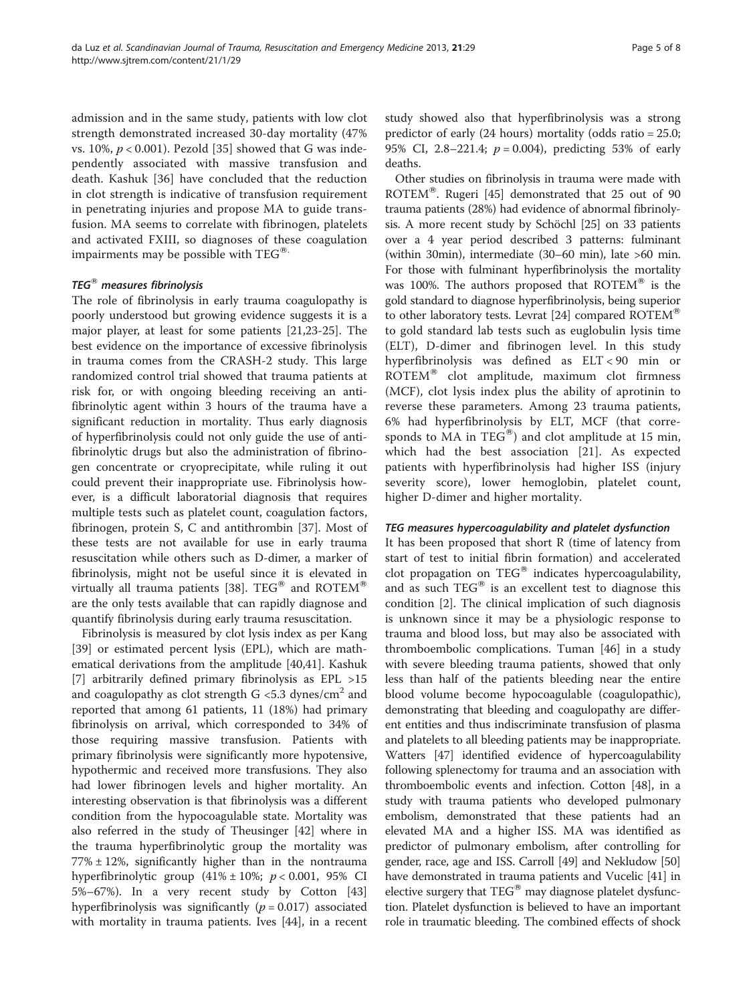admission and in the same study, patients with low clot strength demonstrated increased 30-day mortality (47% vs. 10%,  $p < 0.001$ ). Pezold [[35](#page-6-0)] showed that G was independently associated with massive transfusion and death. Kashuk [[36\]](#page-6-0) have concluded that the reduction in clot strength is indicative of transfusion requirement in penetrating injuries and propose MA to guide transfusion. MA seems to correlate with fibrinogen, platelets and activated FXIII, so diagnoses of these coagulation impairments may be possible with  $TEG^{\circledast}$ .

# TEG $<sup>®</sup>$  measures fibrinolysis</sup>

The role of fibrinolysis in early trauma coagulopathy is poorly understood but growing evidence suggests it is a major player, at least for some patients [[21,23-25\]](#page-6-0). The best evidence on the importance of excessive fibrinolysis in trauma comes from the CRASH-2 study. This large randomized control trial showed that trauma patients at risk for, or with ongoing bleeding receiving an antifibrinolytic agent within 3 hours of the trauma have a significant reduction in mortality. Thus early diagnosis of hyperfibrinolysis could not only guide the use of antifibrinolytic drugs but also the administration of fibrinogen concentrate or cryoprecipitate, while ruling it out could prevent their inappropriate use. Fibrinolysis however, is a difficult laboratorial diagnosis that requires multiple tests such as platelet count, coagulation factors, fibrinogen, protein S, C and antithrombin [[37\]](#page-6-0). Most of these tests are not available for use in early trauma resuscitation while others such as D-dimer, a marker of fibrinolysis, might not be useful since it is elevated in virtually all trauma patients [[38\]](#page-6-0). TEG<sup>®</sup> and ROTEM<sup>®</sup> are the only tests available that can rapidly diagnose and quantify fibrinolysis during early trauma resuscitation.

Fibrinolysis is measured by clot lysis index as per Kang [[39\]](#page-6-0) or estimated percent lysis (EPL), which are mathematical derivations from the amplitude [[40](#page-6-0),[41](#page-6-0)]. Kashuk [[7\]](#page-5-0) arbitrarily defined primary fibrinolysis as EPL >15 and coagulopathy as clot strength  $G \leq 5.3$  dynes/cm<sup>2</sup> and reported that among 61 patients, 11 (18%) had primary fibrinolysis on arrival, which corresponded to 34% of those requiring massive transfusion. Patients with primary fibrinolysis were significantly more hypotensive, hypothermic and received more transfusions. They also had lower fibrinogen levels and higher mortality. An interesting observation is that fibrinolysis was a different condition from the hypocoagulable state. Mortality was also referred in the study of Theusinger [[42\]](#page-6-0) where in the trauma hyperfibrinolytic group the mortality was  $77\% \pm 12\%$ , significantly higher than in the nontrauma hyperfibrinolytic group  $(41\% \pm 10\%)$ ;  $p < 0.001$ , 95% CI 5%–67%). In a very recent study by Cotton [[43](#page-6-0)] hyperfibrinolysis was significantly  $(p = 0.017)$  associated with mortality in trauma patients. Ives [[44\]](#page-6-0), in a recent

study showed also that hyperfibrinolysis was a strong predictor of early (24 hours) mortality (odds ratio = 25.0; 95% CI, 2.8–221.4;  $p = 0.004$ ), predicting 53% of early deaths.

Other studies on fibrinolysis in trauma were made with ROTEM<sup>®</sup>. Rugeri [\[45\]](#page-6-0) demonstrated that 25 out of 90 trauma patients (28%) had evidence of abnormal fibrinolysis. A more recent study by Schöchl [[25](#page-6-0)] on 33 patients over a 4 year period described 3 patterns: fulminant (within 30min), intermediate (30–60 min), late >60 min. For those with fulminant hyperfibrinolysis the mortality was 100%. The authors proposed that  $ROTEM^{\circledast}$  is the gold standard to diagnose hyperfibrinolysis, being superior to other laboratory tests. Levrat [[24\]](#page-6-0) compared ROTEM<sup>®</sup> to gold standard lab tests such as euglobulin lysis time (ELT), D-dimer and fibrinogen level. In this study hyperfibrinolysis was defined as ELT < 90 min or  $ROTEM^@$  clot amplitude, maximum clot firmness (MCF), clot lysis index plus the ability of aprotinin to reverse these parameters. Among 23 trauma patients, 6% had hyperfibrinolysis by ELT, MCF (that corresponds to MA in TEG<sup>®</sup>) and clot amplitude at 15 min, which had the best association [[21\]](#page-6-0). As expected patients with hyperfibrinolysis had higher ISS (injury severity score), lower hemoglobin, platelet count, higher D-dimer and higher mortality.

### TEG measures hypercoagulability and platelet dysfunction

It has been proposed that short R (time of latency from start of test to initial fibrin formation) and accelerated clot propagation on  $TEG^®$  indicates hypercoagulability, and as such  $TEG^®$  is an excellent test to diagnose this condition [[2](#page-5-0)]. The clinical implication of such diagnosis is unknown since it may be a physiologic response to trauma and blood loss, but may also be associated with thromboembolic complications. Tuman [[46\]](#page-6-0) in a study with severe bleeding trauma patients, showed that only less than half of the patients bleeding near the entire blood volume become hypocoagulable (coagulopathic), demonstrating that bleeding and coagulopathy are different entities and thus indiscriminate transfusion of plasma and platelets to all bleeding patients may be inappropriate. Watters [\[47\]](#page-6-0) identified evidence of hypercoagulability following splenectomy for trauma and an association with thromboembolic events and infection. Cotton [[48](#page-6-0)], in a study with trauma patients who developed pulmonary embolism, demonstrated that these patients had an elevated MA and a higher ISS. MA was identified as predictor of pulmonary embolism, after controlling for gender, race, age and ISS. Carroll [[49](#page-6-0)] and Nekludow [[50](#page-6-0)] have demonstrated in trauma patients and Vucelic [[41\]](#page-6-0) in elective surgery that  $TEG^{\otimes}$  may diagnose platelet dysfunction. Platelet dysfunction is believed to have an important role in traumatic bleeding. The combined effects of shock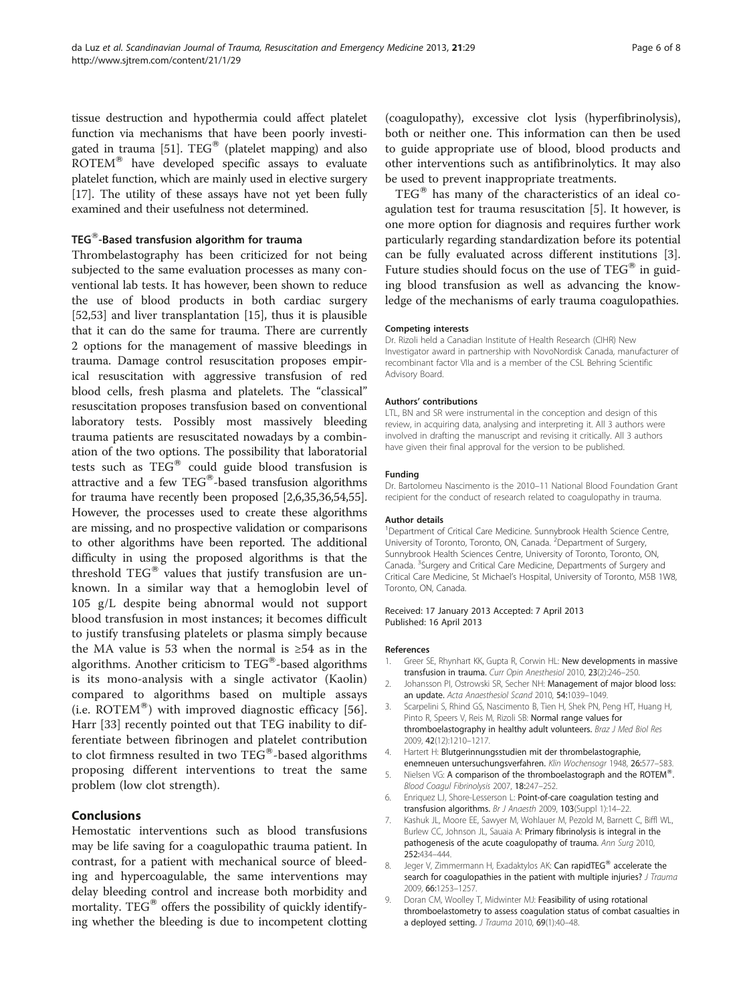<span id="page-5-0"></span>tissue destruction and hypothermia could affect platelet function via mechanisms that have been poorly investi-gated in trauma [[51](#page-6-0)].  $TEG^®$  (platelet mapping) and also  $ROTEM^®$  have developed specific assays to evaluate platelet function, which are mainly used in elective surgery [[17](#page-6-0)]. The utility of these assays have not yet been fully examined and their usefulness not determined.

### $TEG^{\circledR}$ -Based transfusion algorithm for trauma

Thrombelastography has been criticized for not being subjected to the same evaluation processes as many conventional lab tests. It has however, been shown to reduce the use of blood products in both cardiac surgery [[52,53\]](#page-7-0) and liver transplantation [\[15\]](#page-6-0), thus it is plausible that it can do the same for trauma. There are currently 2 options for the management of massive bleedings in trauma. Damage control resuscitation proposes empirical resuscitation with aggressive transfusion of red blood cells, fresh plasma and platelets. The "classical" resuscitation proposes transfusion based on conventional laboratory tests. Possibly most massively bleeding trauma patients are resuscitated nowadays by a combination of the two options. The possibility that laboratorial tests such as  $TEG^®$  could guide blood transfusion is attractive and a few  $TEG^{\circledast}$ -based transfusion algorithms for trauma have recently been proposed [2,6,[35,36,](#page-6-0)[54,55](#page-7-0)]. However, the processes used to create these algorithms are missing, and no prospective validation or comparisons to other algorithms have been reported. The additional difficulty in using the proposed algorithms is that the threshold TEG $^{\circledR}$  values that justify transfusion are unknown. In a similar way that a hemoglobin level of 105 g/L despite being abnormal would not support blood transfusion in most instances; it becomes difficult to justify transfusing platelets or plasma simply because the MA value is 53 when the normal is ≥54 as in the algorithms. Another criticism to  $TEG^{\circledast}$ -based algorithms is its mono-analysis with a single activator (Kaolin) compared to algorithms based on multiple assays (i.e.  $ROTEM^{\circledast}$ ) with improved diagnostic efficacy [\[56](#page-7-0)]. Harr [[33\]](#page-6-0) recently pointed out that TEG inability to differentiate between fibrinogen and platelet contribution to clot firmness resulted in two  $TEG^{\circledast}$ -based algorithms proposing different interventions to treat the same problem (low clot strength).

## Conclusions

Hemostatic interventions such as blood transfusions may be life saving for a coagulopathic trauma patient. In contrast, for a patient with mechanical source of bleeding and hypercoagulable, the same interventions may delay bleeding control and increase both morbidity and mortality. TEG<sup>®</sup> offers the possibility of quickly identifying whether the bleeding is due to incompetent clotting (coagulopathy), excessive clot lysis (hyperfibrinolysis), both or neither one. This information can then be used to guide appropriate use of blood, blood products and other interventions such as antifibrinolytics. It may also be used to prevent inappropriate treatments.

 $TEG^{\otimes}$  has many of the characteristics of an ideal coagulation test for trauma resuscitation [5]. It however, is one more option for diagnosis and requires further work particularly regarding standardization before its potential can be fully evaluated across different institutions [3]. Future studies should focus on the use of  $TEG^{\otimes}$  in guiding blood transfusion as well as advancing the knowledge of the mechanisms of early trauma coagulopathies.

#### Competing interests

Dr. Rizoli held a Canadian Institute of Health Research (CIHR) New Investigator award in partnership with NovoNordisk Canada, manufacturer of recombinant factor VIIa and is a member of the CSL Behring Scientific Advisory Board.

#### Authors' contributions

LTL, BN and SR were instrumental in the conception and design of this review, in acquiring data, analysing and interpreting it. All 3 authors were involved in drafting the manuscript and revising it critically. All 3 authors have given their final approval for the version to be published.

#### Funding

Dr. Bartolomeu Nascimento is the 2010–11 National Blood Foundation Grant recipient for the conduct of research related to coagulopathy in trauma.

#### Author details

<sup>1</sup>Department of Critical Care Medicine. Sunnybrook Health Science Centre, University of Toronto, Toronto, ON, Canada. <sup>2</sup> Department of Surgery Sunnybrook Health Sciences Centre, University of Toronto, Toronto, ON, Canada. <sup>3</sup>Surgery and Critical Care Medicine, Departments of Surgery and Critical Care Medicine, St Michael's Hospital, University of Toronto, M5B 1W8, Toronto, ON, Canada.

Received: 17 January 2013 Accepted: 7 April 2013 Published: 16 April 2013

#### References

- 1. Greer SE, Rhynhart KK, Gupta R, Corwin HL: New developments in massive transfusion in trauma. Curr Opin Anesthesiol 2010, 23(2):246–250.
- 2. Johansson PI, Ostrowski SR, Secher NH: Management of major blood loss: an update. Acta Anaesthesiol Scand 2010, 54:1039–1049.
- 3. Scarpelini S, Rhind GS, Nascimento B, Tien H, Shek PN, Peng HT, Huang H, Pinto R, Speers V, Reis M, Rizoli SB: Normal range values for thromboelastography in healthy adult volunteers. Braz J Med Biol Res 2009, 42(12):1210–1217.
- 4. Hartert H: Blutgerinnungsstudien mit der thrombelastographie, enemneuen untersuchungsverfahren. Klin Wochensogr 1948, 26:577–583.
- 5. Nielsen VG: A comparison of the thromboelastograph and the ROTEM®. Blood Coagul Fibrinolysis 2007, 18:247–252.
- 6. Enriquez LJ, Shore-Lesserson L: Point-of-care coagulation testing and transfusion algorithms. Br J Anaesth 2009, 103(Suppl 1):14–22.
- 7. Kashuk JL, Moore EE, Sawyer M, Wohlauer M, Pezold M, Barnett C, Biffl WL, Burlew CC, Johnson JL, Sauaia A: Primary fibrinolysis is integral in the pathogenesis of the acute coagulopathy of trauma. Ann Surg 2010, 252:434–444.
- 8. Jeger V, Zimmermann H, Exadaktylos AK: Can rapidTEG<sup>®</sup> accelerate the search for coagulopathies in the patient with multiple injuries? J Trauma 2009, 66:1253–1257.
- 9. Doran CM, Woolley T, Midwinter MJ: Feasibility of using rotational thromboelastometry to assess coagulation status of combat casualties in a deployed setting. J Trauma 2010, 69(1):40-48.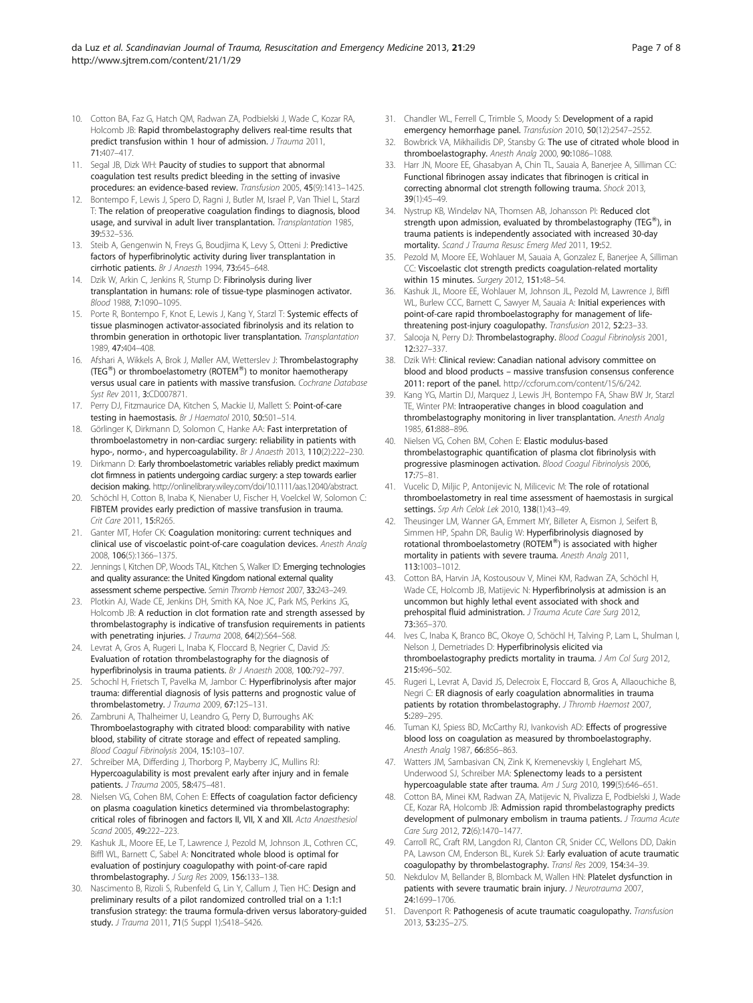- <span id="page-6-0"></span>10. Cotton BA, Faz G, Hatch QM, Radwan ZA, Podbielski J, Wade C, Kozar RA, Holcomb JB: Rapid thrombelastography delivers real-time results that predict transfusion within 1 hour of admission. J Trauma 2011, 71:407–417.
- 11. Segal JB, Dizk WH: Paucity of studies to support that abnormal coagulation test results predict bleeding in the setting of invasive procedures: an evidence-based review. Transfusion 2005, 45(9):1413–1425.
- 12. Bontempo F, Lewis J, Spero D, Ragni J, Butler M, Israel P, Van Thiel L, Starzl T: The relation of preoperative coagulation findings to diagnosis, blood usage, and survival in adult liver transplantation. Transplantation 1985, 39:532–536.
- 13. Steib A, Gengenwin N, Freys G, Boudiima K, Levy S, Otteni J: Predictive factors of hyperfibrinolytic activity during liver transplantation in cirrhotic patients. Br J Anaesth 1994, 73:645–648.
- 14. Dzik W, Arkin C, Jenkins R, Stump D: Fibrinolysis during liver transplantation in humans: role of tissue-type plasminogen activator. Blood 1988, 7:1090–1095.
- 15. Porte R, Bontempo F, Knot E, Lewis J, Kang Y, Starzl T: Systemic effects of tissue plasminogen activator-associated fibrinolysis and its relation to thrombin generation in orthotopic liver transplantation. Transplantation 1989, 47:404–408.
- 16. Afshari A, Wikkels A, Brok J, Møller AM, Wetterslev J: Thrombelastography (TEG $^{\circledR}$ ) or thromboelastometry (ROTEM $^{\circledR}$ ) to monitor haemotherapy versus usual care in patients with massive transfusion. Cochrane Database Syst Rev 2011, 3:CD007871.
- 17. Perry DJ, Fitzmaurice DA, Kitchen S, Mackie IJ, Mallett S: Point-of-care testing in haemostasis. Br J Haematol 2010, 50:501–514.
- 18. Görlinger K, Dirkmann D, Solomon C, Hanke AA: Fast interpretation of thromboelastometry in non-cardiac surgery: reliability in patients with hypo-, normo-, and hypercoagulability. Br J Anaesth 2013, 110(2):222-230.
- 19. Dirkmann D: Early thromboelastometric variables reliably predict maximum clot firmness in patients undergoing cardiac surgery: a step towards earlier decision making. http://onlinelibrary.wiley.com/doi[/10.1111/aas.12040/abstract](http://dx.doi.org/10.1111/aas.12040/abstract).
- 20. Schöchl H, Cotton B, Inaba K, Nienaber U, Fischer H, Voelckel W, Solomon C: FIBTEM provides early prediction of massive transfusion in trauma. Crit Care 2011, 15:R265
- 21. Ganter MT, Hofer CK: Coagulation monitoring: current techniques and clinical use of viscoelastic point-of-care coagulation devices. Anesth Analg 2008, 106(5):1366–1375.
- 22. Jennings I, Kitchen DP, Woods TAL, Kitchen S, Walker ID: Emerging technologies and quality assurance: the United Kingdom national external quality assessment scheme perspective. Semin Thromb Hemost 2007, 33:243–249.
- 23. Plotkin AJ, Wade CE, Jenkins DH, Smith KA, Noe JC, Park MS, Perkins JG, Holcomb JB: A reduction in clot formation rate and strength assessed by thrombelastography is indicative of transfusion requirements in patients with penetrating injuries. J Trauma 2008, 64(2):S64-S68.
- 24. Levrat A, Gros A, Rugeri L, Inaba K, Floccard B, Negrier C, David JS: Evaluation of rotation thrombelastography for the diagnosis of hyperfibrinolysis in trauma patients. Br J Anaesth 2008, 100:792–797.
- 25. Schochl H, Frietsch T, Pavelka M, Jambor C: Hyperfibrinolysis after major trauma: differential diagnosis of lysis patterns and prognostic value of thrombelastometry. J Trauma 2009, 67:125-131.
- 26. Zambruni A, Thalheimer U, Leandro G, Perry D, Burroughs AK: Thromboelastography with citrated blood: comparability with native blood, stability of citrate storage and effect of repeated sampling. Blood Coagul Fibrinolysis 2004, 15:103–107.
- 27. Schreiber MA, Differding J, Thorborg P, Mayberry JC, Mullins RJ: Hypercoagulability is most prevalent early after injury and in female patients. J Trauma 2005, 58:475–481.
- 28. Nielsen VG, Cohen BM, Cohen E: Effects of coagulation factor deficiency on plasma coagulation kinetics determined via thrombelastography: critical roles of fibrinogen and factors II, VII, X and XII. Acta Anaesthesiol Scand 2005, 49:222–223.
- 29. Kashuk JL, Moore EE, Le T, Lawrence J, Pezold M, Johnson JL, Cothren CC, Biffl WL, Barnett C, Sabel A: Noncitrated whole blood is optimal for evaluation of postinjury coagulopathy with point-of-care rapid thrombelastography. J Surg Res 2009, 156:133-138.
- 30. Nascimento B, Rizoli S, Rubenfeld G, Lin Y, Callum J, Tien HC: Design and preliminary results of a pilot randomized controlled trial on a 1:1:1 transfusion strategy: the trauma formula-driven versus laboratory-guided study. J Trauma 2011, 71(5 Suppl 1):S418–S426.
- 31. Chandler WL, Ferrell C, Trimble S, Moody S: Development of a rapid emergency hemorrhage panel. Transfusion 2010, 50(12):2547–2552.
- 32. Bowbrick VA, Mikhailidis DP, Stansby G: The use of citrated whole blood in thromboelastography. Anesth Analg 2000, 90:1086–1088.
- 33. Harr JN, Moore EE, Ghasabyan A, Chin TL, Sauaia A, Banerjee A, Silliman CC: Functional fibrinogen assay indicates that fibrinogen is critical in correcting abnormal clot strength following trauma. Shock 2013, 39(1):45–49.
- 34. Nystrup KB, Windeløv NA, Thomsen AB, Johansson PI: Reduced clot strength upon admission, evaluated by thrombelastography (TEG<sup>®</sup>), in trauma patients is independently associated with increased 30-day mortality. Scand J Trauma Resusc Emera Med 2011, 19:52.
- 35. Pezold M, Moore EE, Wohlauer M, Sauaia A, Gonzalez E, Banerjee A, Silliman CC: Viscoelastic clot strength predicts coagulation-related mortality within 15 minutes. Surgery 2012, 151:48-54.
- 36. Kashuk JL, Moore EE, Wohlauer M, Johnson JL, Pezold M, Lawrence J, Biffl WL, Burlew CCC, Barnett C, Sawyer M, Sauaia A: Initial experiences with point-of-care rapid thromboelastography for management of lifethreatening post-injury coagulopathy. Transfusion 2012, 52:23–33.
- 37. Salooja N, Perry DJ: Thrombelastography. Blood Coagul Fibrinolysis 2001, 12:327–337.
- 38. Dzik WH: Clinical review: Canadian national advisory committee on blood and blood products – massive transfusion consensus conference 2011: report of the panel. <http://ccforum.com/content/15/6/242>.
- 39. Kang YG, Martin DJ, Marquez J, Lewis JH, Bontempo FA, Shaw BW Jr, Starzl TE, Winter PM: Intraoperative changes in blood coagulation and thrombelastography monitoring in liver transplantation. Anesth Analg 1985, 61:888–896.
- 40. Nielsen VG, Cohen BM, Cohen E: Elastic modulus-based thrombelastographic quantification of plasma clot fibrinolysis with progressive plasminogen activation. Blood Coagul Fibrinolysis 2006, 17:75–81.
- 41. Vucelic D, Miljic P, Antonijevic N, Milicevic M: The role of rotational thromboelastometry in real time assessment of haemostasis in surgical settings. Srp Arh Celok Lek 2010, 138(1):43–49.
- 42. Theusinger LM, Wanner GA, Emmert MY, Billeter A, Eismon J, Seifert B, Simmen HP, Spahn DR, Baulig W: Hyperfibrinolysis diagnosed by rotational thromboelastometry (ROTEM®) is associated with higher mortality in patients with severe trauma. Anesth Analg 2011, 113:1003–1012.
- 43. Cotton BA, Harvin JA, Kostousouv V, Minei KM, Radwan ZA, Schöchl H, Wade CE, Holcomb JB, Matijevic N: Hyperfibrinolysis at admission is an uncommon but highly lethal event associated with shock and prehospital fluid administration. J Trauma Acute Care Surg 2012, 73:365–370.
- 44. Ives C, Inaba K, Branco BC, Okoye O, Schöchl H, Talving P, Lam L, Shulman I, Nelson J, Demetriades D: Hyperfibrinolysis elicited via thromboelastography predicts mortality in trauma. J Am Col Surg 2012, 215:496–502.
- 45. Rugeri L, Levrat A, David JS, Delecroix E, Floccard B, Gros A, Allaouchiche B, Negri C: ER diagnosis of early coagulation abnormalities in trauma patients by rotation thrombelastography. J Thromb Haemost 2007, 5:289–295.
- 46. Tuman KJ, Spiess BD, McCarthy RJ, Ivankovish AD: Effects of progressive blood loss on coagulation as measured by thromboelastography. Anesth Analg 1987, 66:856-863.
- 47. Watters JM, Sambasivan CN, Zink K, Kremenevskiy I, Englehart MS, Underwood SJ, Schreiber MA: Splenectomy leads to a persistent hypercoagulable state after trauma. Am J Surg 2010, 199(5):646–651.
- 48. Cotton BA, Minei KM, Radwan ZA, Matijevic N, Pivalizza E, Podbielski J, Wade CE, Kozar RA, Holcomb JB: Admission rapid thrombelastography predicts development of pulmonary embolism in trauma patients. J Trauma Acute Care Surg 2012, 72(6):1470–1477.
- 49. Carroll RC, Craft RM, Langdon RJ, Clanton CR, Snider CC, Wellons DD, Dakin PA, Lawson CM, Enderson BL, Kurek SJ: Early evaluation of acute traumatic coagulopathy by thrombelastography. Transl Res 2009, 154:34–39.
- 50. Nekdulov M, Bellander B, Blomback M, Wallen HN: Platelet dysfunction in patients with severe traumatic brain injury. J Neurotrauma 2007, 24:1699–1706.
- 51. Davenport R: Pathogenesis of acute traumatic coagulopathy. Transfusion 2013, 53:23S–27S.